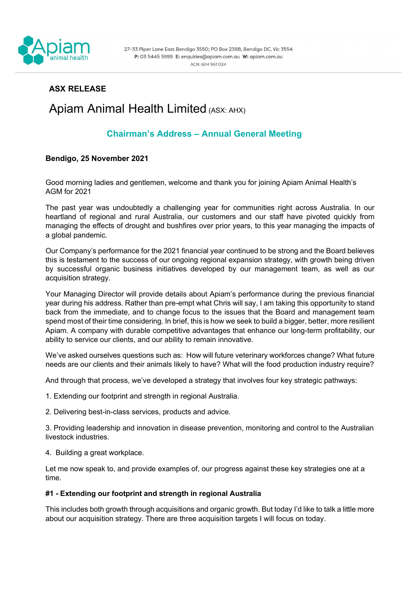

# ASX RELEASE

# Apiam Animal Health Limited (ASX: AHX)

# Chairman's Address – Annual General Meeting

# Bendigo, 25 November 2021

Good morning ladies and gentlemen, welcome and thank you for joining Apiam Animal Health's AGM for 2021

The past year was undoubtedly a challenging year for communities right across Australia. In our heartland of regional and rural Australia, our customers and our staff have pivoted quickly from managing the effects of drought and bushfires over prior years, to this year managing the impacts of a global pandemic.

Our Company's performance for the 2021 financial year continued to be strong and the Board believes this is testament to the success of our ongoing regional expansion strategy, with growth being driven by successful organic business initiatives developed by our management team, as well as our acquisition strategy.

Your Managing Director will provide details about Apiam's performance during the previous financial year during his address. Rather than pre-empt what Chris will say, I am taking this opportunity to stand back from the immediate, and to change focus to the issues that the Board and management team spend most of their time considering. In brief, this is how we seek to build a bigger, better, more resilient Apiam. A company with durable competitive advantages that enhance our long-term profitability, our ability to service our clients, and our ability to remain innovative.

We've asked ourselves questions such as: How will future veterinary workforces change? What future needs are our clients and their animals likely to have? What will the food production industry require?

And through that process, we've developed a strategy that involves four key strategic pathways:

- 1. Extending our footprint and strength in regional Australia.
- 2. Delivering best-in-class services, products and advice.

3. Providing leadership and innovation in disease prevention, monitoring and control to the Australian livestock industries.

4. Building a great workplace.

Let me now speak to, and provide examples of, our progress against these key strategies one at a time.

## #1 - Extending our footprint and strength in regional Australia

This includes both growth through acquisitions and organic growth. But today I'd like to talk a little more about our acquisition strategy. There are three acquisition targets I will focus on today.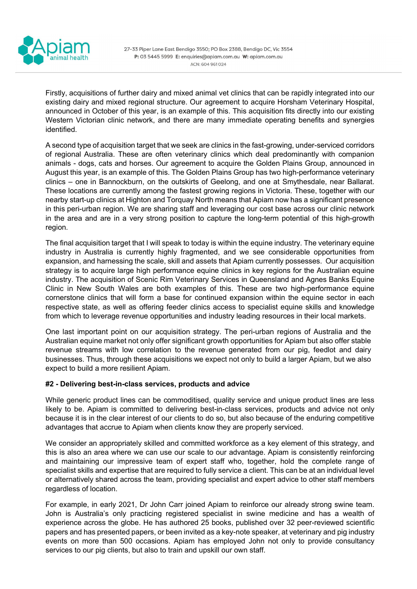

Firstly, acquisitions of further dairy and mixed animal vet clinics that can be rapidly integrated into our existing dairy and mixed regional structure. Our agreement to acquire Horsham Veterinary Hospital, announced in October of this year, is an example of this. This acquisition fits directly into our existing Western Victorian clinic network, and there are many immediate operating benefits and synergies identified.

A second type of acquisition target that we seek are clinics in the fast-growing, under-serviced corridors of regional Australia. These are often veterinary clinics which deal predominantly with companion animals - dogs, cats and horses. Our agreement to acquire the Golden Plains Group, announced in August this year, is an example of this. The Golden Plains Group has two high-performance veterinary clinics – one in Bannockburn, on the outskirts of Geelong, and one at Smythesdale, near Ballarat. These locations are currently among the fastest growing regions in Victoria. These, together with our nearby start-up clinics at Highton and Torquay North means that Apiam now has a significant presence in this peri-urban region. We are sharing staff and leveraging our cost base across our clinic network in the area and are in a very strong position to capture the long-term potential of this high-growth region.

The final acquisition target that I will speak to today is within the equine industry. The veterinary equine industry in Australia is currently highly fragmented, and we see considerable opportunities from expansion, and harnessing the scale, skill and assets that Apiam currently possesses. Our acquisition strategy is to acquire large high performance equine clinics in key regions for the Australian equine industry. The acquisition of Scenic Rim Veterinary Services in Queensland and Agnes Banks Equine Clinic in New South Wales are both examples of this. These are two high-performance equine cornerstone clinics that will form a base for continued expansion within the equine sector in each respective state, as well as offering feeder clinics access to specialist equine skills and knowledge from which to leverage revenue opportunities and industry leading resources in their local markets.

One last important point on our acquisition strategy. The peri-urban regions of Australia and the Australian equine market not only offer significant growth opportunities for Apiam but also offer stable revenue streams with low correlation to the revenue generated from our pig, feedlot and dairy businesses. Thus, through these acquisitions we expect not only to build a larger Apiam, but we also expect to build a more resilient Apiam.

#### #2 - Delivering best-in-class services, products and advice

While generic product lines can be commoditised, quality service and unique product lines are less likely to be. Apiam is committed to delivering best-in-class services, products and advice not only because it is in the clear interest of our clients to do so, but also because of the enduring competitive advantages that accrue to Apiam when clients know they are properly serviced.

We consider an appropriately skilled and committed workforce as a key element of this strategy, and this is also an area where we can use our scale to our advantage. Apiam is consistently reinforcing and maintaining our impressive team of expert staff who, together, hold the complete range of specialist skills and expertise that are required to fully service a client. This can be at an individual level or alternatively shared across the team, providing specialist and expert advice to other staff members regardless of location.

For example, in early 2021, Dr John Carr joined Apiam to reinforce our already strong swine team. John is Australia's only practicing registered specialist in swine medicine and has a wealth of experience across the globe. He has authored 25 books, published over 32 peer-reviewed scientific papers and has presented papers, or been invited as a key-note speaker, at veterinary and pig industry events on more than 500 occasions. Apiam has employed John not only to provide consultancy services to our pig clients, but also to train and upskill our own staff.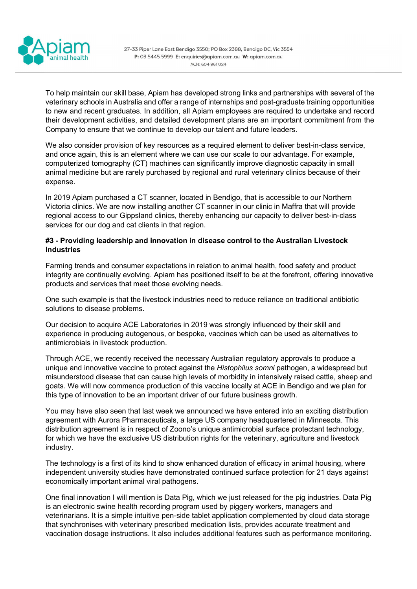

27-33 Piper Lane East Bendigo 3550; PO Box 2388, Bendigo DC, Vic 3554 P: 03 5445 5999 E: enquiries@apiam.com.au W: apiam.com.au ACN: 604 961 024

To help maintain our skill base, Apiam has developed strong links and partnerships with several of the veterinary schools in Australia and offer a range of internships and post-graduate training opportunities to new and recent graduates. In addition, all Apiam employees are required to undertake and record their development activities, and detailed development plans are an important commitment from the Company to ensure that we continue to develop our talent and future leaders.

We also consider provision of key resources as a required element to deliver best-in-class service, and once again, this is an element where we can use our scale to our advantage. For example, computerized tomography (CT) machines can significantly improve diagnostic capacity in small animal medicine but are rarely purchased by regional and rural veterinary clinics because of their expense.

In 2019 Apiam purchased a CT scanner, located in Bendigo, that is accessible to our Northern Victoria clinics. We are now installing another CT scanner in our clinic in Maffra that will provide regional access to our Gippsland clinics, thereby enhancing our capacity to deliver best-in-class services for our dog and cat clients in that region.

### #3 - Providing leadership and innovation in disease control to the Australian Livestock Industries

Farming trends and consumer expectations in relation to animal health, food safety and product integrity are continually evolving. Apiam has positioned itself to be at the forefront, offering innovative products and services that meet those evolving needs.

One such example is that the livestock industries need to reduce reliance on traditional antibiotic solutions to disease problems.

Our decision to acquire ACE Laboratories in 2019 was strongly influenced by their skill and experience in producing autogenous, or bespoke, vaccines which can be used as alternatives to antimicrobials in livestock production.

Through ACE, we recently received the necessary Australian regulatory approvals to produce a unique and innovative vaccine to protect against the Histophilus somni pathogen, a widespread but misunderstood disease that can cause high levels of morbidity in intensively raised cattle, sheep and goats. We will now commence production of this vaccine locally at ACE in Bendigo and we plan for this type of innovation to be an important driver of our future business growth.

You may have also seen that last week we announced we have entered into an exciting distribution agreement with Aurora Pharmaceuticals, a large US company headquartered in Minnesota. This distribution agreement is in respect of Zoono's unique antimicrobial surface protectant technology, for which we have the exclusive US distribution rights for the veterinary, agriculture and livestock industry.

The technology is a first of its kind to show enhanced duration of efficacy in animal housing, where independent university studies have demonstrated continued surface protection for 21 days against economically important animal viral pathogens.

One final innovation I will mention is Data Pig, which we just released for the pig industries. Data Pig is an electronic swine health recording program used by piggery workers, managers and veterinarians. It is a simple intuitive pen-side tablet application complemented by cloud data storage that synchronises with veterinary prescribed medication lists, provides accurate treatment and vaccination dosage instructions. It also includes additional features such as performance monitoring.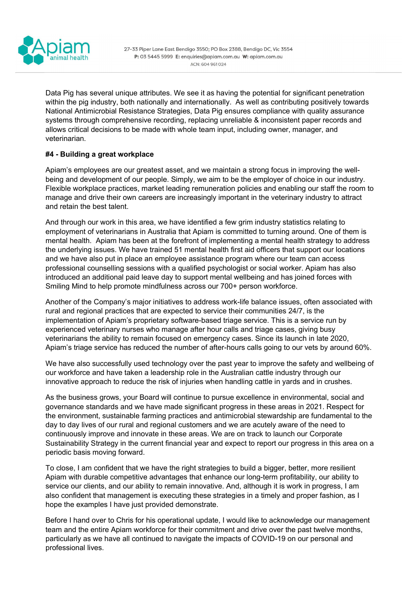

27-33 Piper Lane East Bendigo 3550; PO Box 2388, Bendigo DC, Vic 3554 P: 03 5445 5999 E: enquiries@apiam.com.au W: apiam.com.au ACN: 604 961 024

Data Pig has several unique attributes. We see it as having the potential for significant penetration within the pig industry, both nationally and internationally. As well as contributing positively towards National Antimicrobial Resistance Strategies, Data Pig ensures compliance with quality assurance systems through comprehensive recording, replacing unreliable & inconsistent paper records and allows critical decisions to be made with whole team input, including owner, manager, and veterinarian.

## #4 - Building a great workplace

Apiam's employees are our greatest asset, and we maintain a strong focus in improving the wellbeing and development of our people. Simply, we aim to be the employer of choice in our industry. Flexible workplace practices, market leading remuneration policies and enabling our staff the room to manage and drive their own careers are increasingly important in the veterinary industry to attract and retain the best talent.

And through our work in this area, we have identified a few grim industry statistics relating to employment of veterinarians in Australia that Apiam is committed to turning around. One of them is mental health. Apiam has been at the forefront of implementing a mental health strategy to address the underlying issues. We have trained 51 mental health first aid officers that support our locations and we have also put in place an employee assistance program where our team can access professional counselling sessions with a qualified psychologist or social worker. Apiam has also introduced an additional paid leave day to support mental wellbeing and has joined forces with Smiling Mind to help promote mindfulness across our 700+ person workforce.

Another of the Company's major initiatives to address work-life balance issues, often associated with rural and regional practices that are expected to service their communities 24/7, is the implementation of Apiam's proprietary software-based triage service. This is a service run by experienced veterinary nurses who manage after hour calls and triage cases, giving busy veterinarians the ability to remain focused on emergency cases. Since its launch in late 2020, Apiam's triage service has reduced the number of after-hours calls going to our vets by around 60%.

We have also successfully used technology over the past year to improve the safety and wellbeing of our workforce and have taken a leadership role in the Australian cattle industry through our innovative approach to reduce the risk of injuries when handling cattle in yards and in crushes.

As the business grows, your Board will continue to pursue excellence in environmental, social and governance standards and we have made significant progress in these areas in 2021. Respect for the environment, sustainable farming practices and antimicrobial stewardship are fundamental to the day to day lives of our rural and regional customers and we are acutely aware of the need to continuously improve and innovate in these areas. We are on track to launch our Corporate Sustainability Strategy in the current financial year and expect to report our progress in this area on a periodic basis moving forward.

To close, I am confident that we have the right strategies to build a bigger, better, more resilient Apiam with durable competitive advantages that enhance our long-term profitability, our ability to service our clients, and our ability to remain innovative. And, although it is work in progress, I am also confident that management is executing these strategies in a timely and proper fashion, as I hope the examples I have just provided demonstrate.

Before I hand over to Chris for his operational update, I would like to acknowledge our management team and the entire Apiam workforce for their commitment and drive over the past twelve months, particularly as we have all continued to navigate the impacts of COVID-19 on our personal and professional lives.